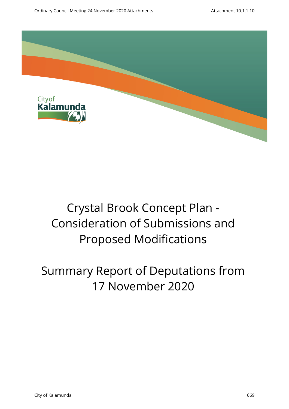

# Crystal Brook Concept Plan - Consideration of Submissions and Proposed Modifications

## Summary Report of Deputations from 17 November 2020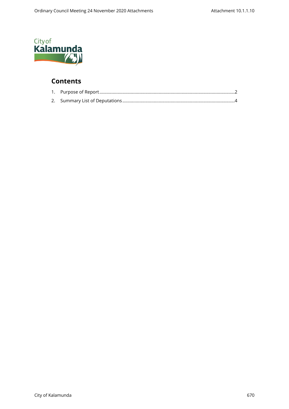

### **Contents**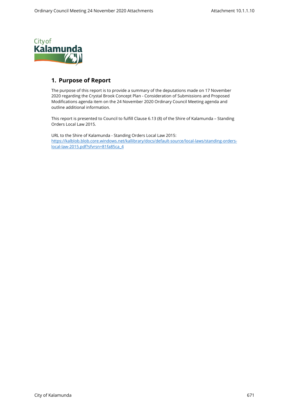<span id="page-2-0"></span>

#### **1. Purpose of Report**

The purpose of this report is to provide a summary of the deputations made on 17 November 2020 regarding the Crystal Brook Concept Plan - Consideration of Submissions and Proposed Modifications agenda item on the 24 November 2020 Ordinary Council Meeting agenda and outline additional information.

This report is presented to Council to fulfill Clause 6.13 (8) of the Shire of Kalamunda – Standing Orders Local Law 2015.

URL to the Shire of Kalamunda - Standing Orders Local Law 2015: [https://kalblob.blob.core.windows.net/kallibrary/docs/default-source/local-laws/standing-orders](https://kalblob.blob.core.windows.net/kallibrary/docs/default-source/local-laws/standing-orders-local-law-2015.pdf?sfvrsn=81fa85ca_4)[local-law-2015.pdf?sfvrsn=81fa85ca\\_4](https://kalblob.blob.core.windows.net/kallibrary/docs/default-source/local-laws/standing-orders-local-law-2015.pdf?sfvrsn=81fa85ca_4)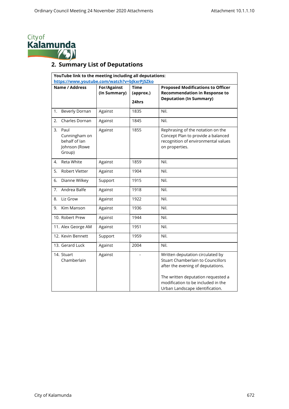<span id="page-3-0"></span>

### **2. Summary List of Deputations**

| YouTube link to the meeting including all deputations:<br>https://www.youtube.com/watch?v=bJkxrPj5Zko |                                    |                                   |                                                                                                                                                                                                                                  |  |  |  |
|-------------------------------------------------------------------------------------------------------|------------------------------------|-----------------------------------|----------------------------------------------------------------------------------------------------------------------------------------------------------------------------------------------------------------------------------|--|--|--|
| Name / Address                                                                                        | <b>For/Against</b><br>(In Summary) | <b>Time</b><br>(approx.)<br>24hrs | <b>Proposed Modifications to Officer</b><br><b>Recommendation in Response to</b><br><b>Deputation (In Summary)</b>                                                                                                               |  |  |  |
| 1.<br><b>Beverly Dornan</b>                                                                           | Against                            | 1835                              | Nil.                                                                                                                                                                                                                             |  |  |  |
| Charles Dornan<br>2.                                                                                  | Against                            | 1845                              | Nil.                                                                                                                                                                                                                             |  |  |  |
| 3.<br>Paul<br>Cunningham on<br>behalf of lan<br>Johnson (Rowe<br>Group)                               | Against                            | 1855                              | Rephrasing of the notation on the<br>Concept Plan to provide a balanced<br>recognition of environmental values<br>on properties.                                                                                                 |  |  |  |
| Reta White<br>4.                                                                                      | Against                            | 1859                              | Nil.                                                                                                                                                                                                                             |  |  |  |
| 5.<br>Robert Vletter                                                                                  | Against                            | 1904                              | Nil.                                                                                                                                                                                                                             |  |  |  |
| Dianne Wilkey<br>6.                                                                                   | Support                            | 1915                              | Nil.                                                                                                                                                                                                                             |  |  |  |
| Andrea Balfe<br>7.                                                                                    | Against                            | 1918                              | Nil.                                                                                                                                                                                                                             |  |  |  |
| Liz Grow<br>8.                                                                                        | Against                            | 1922                              | Nil.                                                                                                                                                                                                                             |  |  |  |
| Kim Manson<br>9.                                                                                      | Against                            | 1936                              | Nil.                                                                                                                                                                                                                             |  |  |  |
| 10. Robert Prew                                                                                       | Against                            | 1944                              | Nil.                                                                                                                                                                                                                             |  |  |  |
| 11. Alex George AM                                                                                    | Against                            | 1951                              | Nil.                                                                                                                                                                                                                             |  |  |  |
| 12. Kevin Bennett                                                                                     | Support                            | 1959                              | Nil.                                                                                                                                                                                                                             |  |  |  |
| 13. Gerard Luck                                                                                       | Against                            | 2004                              | Nil.                                                                                                                                                                                                                             |  |  |  |
| 14. Stuart<br>Chamberlain                                                                             | Against                            |                                   | Written deputation circulated by<br><b>Stuart Chamberlain to Councillors</b><br>after the evening of deputations.<br>The written deputation requested a<br>modification to be included in the<br>Urban Landscape identification. |  |  |  |